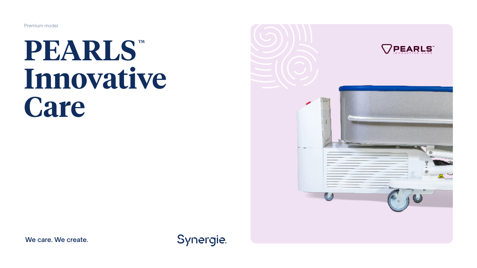Premium model

# $\mathbf{PEARLS}^{m}$ **Innovative Care**



**We care. We create.**

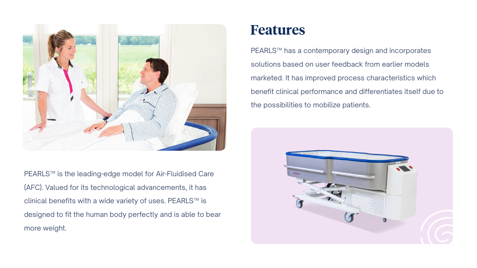

PEARLS™ is the leading-edge model for Air-Fluidised Care (AFC). Valued for its technological advancements, it has clinical benefits with a wide variety of uses. PEARLS™ is designed to fit the human body perfectly and is able to bear more weight.

### **Features**

PEARLS™ has a contemporary design and incorporates solutions based on user feedback from earlier models marketed. It has improved process characteristics which benefit clinical performance and differentiates itself due to the possibilities to mobilize patients.

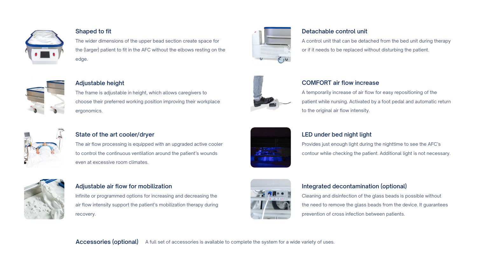

#### **Shaped to fit**

ergonomics.

**Adjustable height**

The wider dimensions of the upper bead section create space for the (larger) patient to fit in the AFC without the elbows resting on the edge.

The frame is adjustable in height, which allows caregivers to choose their preferred working position improving their workplace



#### **Detachable control unit**

A control unit that can be detached from the bed unit during therapy or if it needs to be replaced without disturbing the patient.



#### **COMFORT air flow increase**

A temporarily increase of air flow for easy repositioning of the patient while nursing. Activated by a foot pedal and automatic return to the original air flow intensity.



#### **State of the art cooler/dryer**

The air flow processing is equipped with an upgraded active cooler to control the continuous ventilation around the patient's wounds even at excessive room climates.



#### **Adjustable air flow for mobilization**

Infinite or programmed options for increasing and decreasing the air flow intensity support the patient's mobilization therapy during recovery.



#### **LED under bed night light**

Provides just enough light during the nighttime to see the AFC's contour while checking the patient. Additional light is not necessary.



#### **Integrated decontamination (optional)**

Cleaning and disinfection of the glass beads is possible without the need to remove the glass beads from the device. It guarantees prevention of cross infection between patients.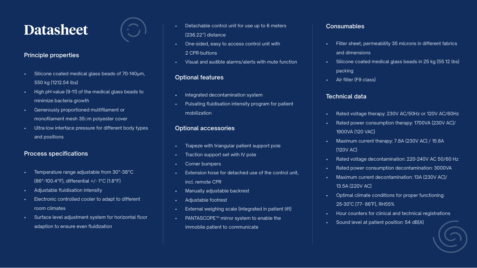### **Datasheet**

#### **Principle properties**

- Silicone coated medical glass beads of 70-140μm, 550 kg (1212.54 lbs)
- High pH-value (9-11) of the medical glass beads to minimize bacteria growth
- Generously proportioned multifilament or monofilament mesh 35μm polvester cover
- Ultra-low interface pressure for different body types and positions

#### **Process specifications**

- Temperature range adjustable from 30°-38°C (86°-100.4°F), differential +/- 1°C (1.8°F)
- Adjustable fluidisation intensity
- Electronic controlled cooler to adapt to different room climates
- Surface level adjustment system for horizontal floor adaption to ensure even fluidization
- Detachable control unit for use up to 6 meters (236.22") distance
- One-sided, easy to access control unit with 2 CPR-buttons
- Visual and audible alarms/alerts with mute function

#### **Optional features**

- Integrated decontamination system
- Pulsating fluidisation intensity program for patient mobilization

#### **Optional accessories**

- Trapeze with triangular patient support pole
- Traction support set with IV pole
- Corner bumpers
- Extension hose for detached use of the control unit, incl. remote CPR
- Manually adjustable backrest
- Adjustable footrest
- External weighing scale (integrated in patient lift)
- PANTASCOPE™ mirror system to enable the immobile patient to communicate

#### **Consumables**

- Filter sheet, permeability 35 microns in different fabrics and dimensions
- Silicone coated medical glass beads in 25 kg (55.12 lbs) packing
- Air filter (F9 class)

#### **Technical data**

- Rated voltage therapy: 230V AC/50Hz or 120V AC/60Hz
- Rated power consumption therapy: 1700VA (230V AC)/ 1900VA (120 VAC)
- Maximum current therapy: 7.8A (230V AC) / 15.8A (120V AC)
- Rated voltage decontamination: 220-240V AC 50/60 Hz
- Rated power consumption decontamination: 3000VA
- Maximum current decontamination: 13A (230V AC)/ 13.5A (220V AC)
- Optimal climate conditions for proper functioning: 25-30˚C (77- 86˚F), RH55%
- Hour counters for clinical and technical registrations
- Sound level at patient position: 54 dB(A)

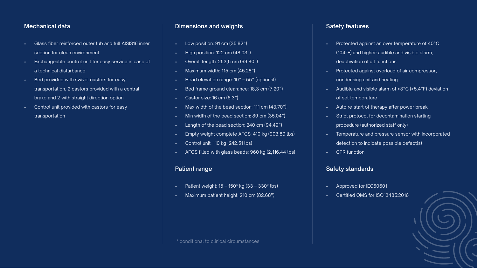#### **Mechanical data**

- Glass fiber reinforced outer tub and full AISI316 inner section for clean environment
- Exchangeable control unit for easy service in case of a technical disturbance
- Bed provided with swivel castors for easy transportation, 2 castors provided with a central brake and 2 with straight direction option
- Control unit provided with castors for easy transportation

#### **Dimensions and weights**

- Low position: 91 cm (35.82")
- High position: 122 cm (48.03")
- Overall length: 253,5 cm (99.80")
- Maximum width: 115 cm (45.28")
- Head elevation range: 10° 55° (optional)
- Bed frame ground clearance: 18,3 cm (7.20")
- Castor size: 16 cm (6.3")
- Max width of the bead section: 111 cm (43.70")
- Min width of the bead section: 89 cm (35.04")
- Length of the bead section: 240 cm (94.49")
- Empty weight complete AFCS: 410 kg (903.89 lbs)
- Control unit: 110 kg (242.51 lbs)
- AFCS filled with glass beads: 960 kg (2,116.44 lbs)

#### **Patient range**

- Patient weight:  $15 150*$  kg  $(33 330*$  lbs)
- Maximum patient height: 210 cm (82.68")

#### **Safety features**

- Protected against an over temperature of 40°C (104°F) and higher: audible and visible alarm, deactivation of all functions
- Protected against overload of air compressor, condensing unit and heating
- Audible and visible alarm of >3°C (>5.4°F) deviation of set temperature
- Auto re-start of therapy after power break
- Strict protocol for decontamination starting procedure (authorized staff only)
- Temperature and pressure sensor with incorporated detection to indicate possible defect(s)
- CPR function

#### **Safety standards**

- Approved for IEC60601
- Certified QMS for ISO13485:2016



\* conditional to clinical circumstances